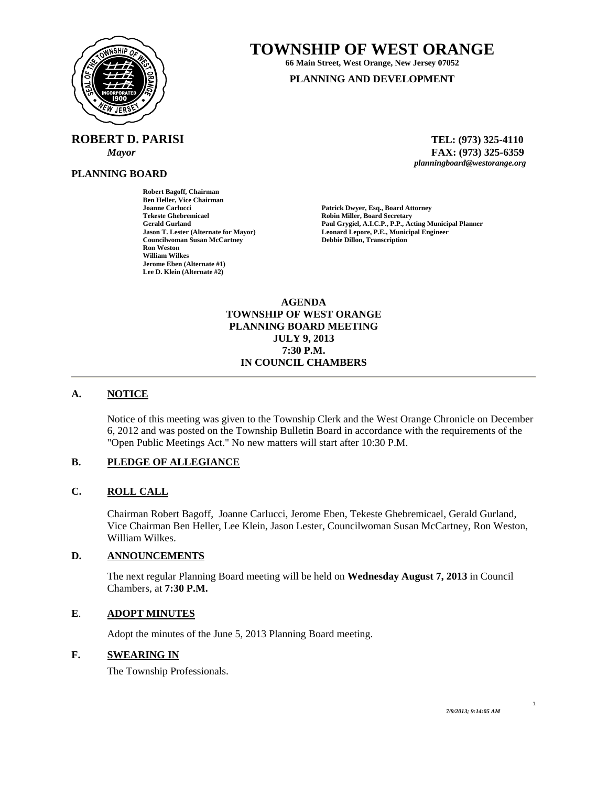

# **TOWNSHIP OF WEST ORANGE**

**66 Main Street, West Orange, New Jersey 07052 PLANNING AND DEVELOPMENT**

**ROBERT D. PARISI TEL: (973) 325-4110** 

**Robert Bagoff, Chairman Ben Heller, Vice Chairman** 

**Jerome Eben (Alternate #1) Lee D. Klein (Alternate #2)** 

**Ron Weston William Wilkes** 

**PLANNING BOARD**

 *Mayor* **FAX: (973) 325-6359** *planningboard@westorange.org* 

**Joanne Carlucci Patrick Dwyer, Esq., Board Attorney Tekeste Ghebremicael Robin Miller, Board Secretary Cerald Gurland Paul Gryoiel. A.I.C.P., P.P., Actor Gerald Gurland Paul Grygiel, A.I.C.P., P.P., Acting Municipal Planner Jason T. Lester (Alternate for Mayor) Leonard Lepore, P.E., Municipal Engineer Councilwoman Susan McCartney Debbie Dillon, Transcription** 

> **AGENDA TOWNSHIP OF WEST ORANGE PLANNING BOARD MEETING JULY 9, 2013 7:30 P.M. IN COUNCIL CHAMBERS**

#### **A. NOTICE**

Notice of this meeting was given to the Township Clerk and the West Orange Chronicle on December 6, 2012 and was posted on the Township Bulletin Board in accordance with the requirements of the "Open Public Meetings Act." No new matters will start after 10:30 P.M.

# **B. PLEDGE OF ALLEGIANCE**

## **C. ROLL CALL**

Chairman Robert Bagoff, Joanne Carlucci, Jerome Eben, Tekeste Ghebremicael, Gerald Gurland, Vice Chairman Ben Heller, Lee Klein, Jason Lester, Councilwoman Susan McCartney, Ron Weston, William Wilkes.

#### **D. ANNOUNCEMENTS**

The next regular Planning Board meeting will be held on **Wednesday August 7, 2013** in Council Chambers, at **7:30 P.M.** 

#### **E**. **ADOPT MINUTES**

Adopt the minutes of the June 5, 2013 Planning Board meeting.

# **F. SWEARING IN**

The Township Professionals.